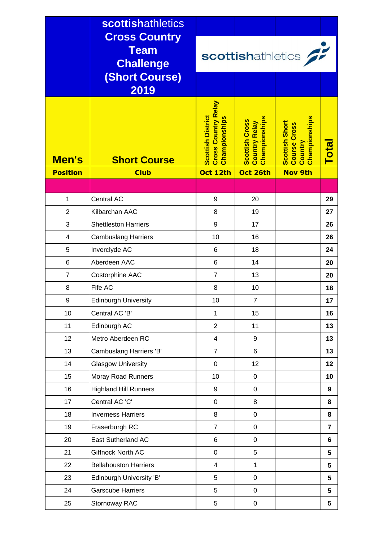|                          | <b>scottishathletics</b>                                |                                                                                     |                                                                            |                                                                                     |                 |
|--------------------------|---------------------------------------------------------|-------------------------------------------------------------------------------------|----------------------------------------------------------------------------|-------------------------------------------------------------------------------------|-----------------|
|                          | <b>Cross Country</b><br><b>Team</b><br><b>Challenge</b> | scottishathletics                                                                   |                                                                            |                                                                                     |                 |
|                          | <b>(Short Course)</b><br>2019                           |                                                                                     |                                                                            |                                                                                     |                 |
| Men's<br><b>Position</b> | <b>Short Course</b><br><b>Club</b>                      | <b>Cross Country Relay</b><br><b>Scottish District</b><br>Championships<br>Oct 12th | Championships<br><b>Scottish Cross</b><br><b>Country Relay</b><br>Oct 26th | <b>Championships</b><br>Scottish Short<br>Course Cross<br>Country<br><b>Nov 9th</b> | <b>Total</b>    |
|                          |                                                         |                                                                                     |                                                                            |                                                                                     |                 |
| $\mathbf{1}$             | Central AC                                              | 9                                                                                   | 20                                                                         |                                                                                     | 29              |
| $\overline{2}$           | Kilbarchan AAC                                          | 8                                                                                   | 19                                                                         |                                                                                     | 27              |
| 3                        | <b>Shettleston Harriers</b>                             | 9                                                                                   | 17                                                                         |                                                                                     | 26              |
| $\overline{4}$           | <b>Cambuslang Harriers</b>                              | 10                                                                                  | 16                                                                         |                                                                                     | 26              |
| 5                        | Inverclyde AC                                           | 6                                                                                   | 18                                                                         |                                                                                     | 24              |
| 6                        | Aberdeen AAC                                            | 6                                                                                   | 14                                                                         |                                                                                     | 20              |
| $\overline{7}$           | Costorphine AAC                                         | $\overline{7}$                                                                      | 13                                                                         |                                                                                     | 20              |
| 8                        | Fife AC                                                 | 8                                                                                   | 10                                                                         |                                                                                     | 18              |
| $\boldsymbol{9}$         | <b>Edinburgh University</b>                             | 10                                                                                  | $\overline{7}$                                                             |                                                                                     | 17              |
| 10                       | Central AC 'B'                                          | $\mathbf{1}$                                                                        | 15                                                                         |                                                                                     | 16              |
| 11                       | Edinburgh AC                                            | $\overline{2}$                                                                      | 11                                                                         |                                                                                     | 13              |
| 12                       | Metro Aberdeen RC                                       | $\overline{4}$                                                                      | 9                                                                          |                                                                                     | 13              |
| 13                       | Cambuslang Harriers 'B'                                 | $\overline{7}$                                                                      | 6                                                                          |                                                                                     | 13              |
| 14                       | <b>Glasgow University</b>                               | $\pmb{0}$                                                                           | 12                                                                         |                                                                                     | 12 <sub>2</sub> |
| 15                       | Moray Road Runners                                      | 10                                                                                  | $\pmb{0}$                                                                  |                                                                                     | 10              |
| 16                       | <b>Highland Hill Runners</b>                            | 9                                                                                   | $\pmb{0}$                                                                  |                                                                                     | 9               |
| 17                       | Central AC 'C'                                          | $\pmb{0}$                                                                           | 8                                                                          |                                                                                     | 8               |
| 18                       | <b>Inverness Harriers</b>                               | 8                                                                                   | $\pmb{0}$                                                                  |                                                                                     | 8               |
| 19                       | Fraserburgh RC                                          | $\overline{7}$                                                                      | $\pmb{0}$                                                                  |                                                                                     | $\overline{7}$  |
| 20                       | <b>East Sutherland AC</b>                               | 6                                                                                   | $\pmb{0}$                                                                  |                                                                                     | $6\phantom{1}$  |
| 21                       | Giffnock North AC                                       | $\pmb{0}$                                                                           | 5                                                                          |                                                                                     | 5               |
| 22                       | <b>Bellahouston Harriers</b>                            | $\overline{4}$                                                                      | $\mathbf{1}$                                                               |                                                                                     | 5               |
| 23                       | Edinburgh University 'B'                                | 5                                                                                   | $\pmb{0}$                                                                  |                                                                                     | 5               |
| 24                       | <b>Garscube Harriers</b>                                | 5                                                                                   | $\pmb{0}$                                                                  |                                                                                     | 5               |
| 25                       | Stornoway RAC                                           | 5                                                                                   | $\mathbf 0$                                                                |                                                                                     | 5               |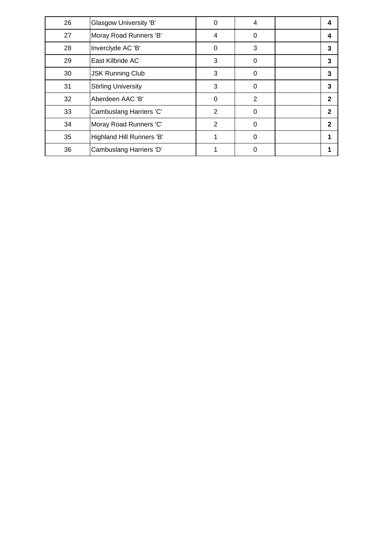| 26 | Glasgow University 'B'     | 0              | 4        | 4            |
|----|----------------------------|----------------|----------|--------------|
| 27 | Moray Road Runners 'B'     | 4              | 0        | 4            |
| 28 | Inverclyde AC 'B'          | 0              | 3        | 3            |
| 29 | East Kilbride AC           | 3              | $\Omega$ | 3            |
| 30 | <b>JSK Running Club</b>    | 3              | $\Omega$ | 3            |
| 31 | <b>Stirling University</b> | 3              | $\Omega$ | 3            |
| 32 | Aberdeen AAC 'B'           | $\Omega$       | 2        | $\mathbf{2}$ |
| 33 | Cambuslang Harriers 'C'    | $\overline{2}$ | $\Omega$ | 2            |
| 34 | Moray Road Runners 'C'     | 2              | $\Omega$ | 2            |
| 35 | Highland Hill Runners 'B'  |                | $\Omega$ |              |
| 36 | Cambuslang Harriers 'D'    |                | 0        |              |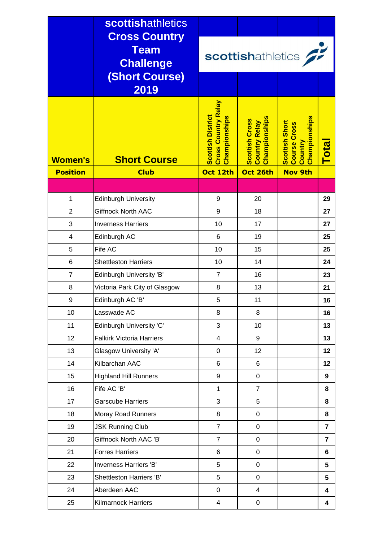|                     | <b>scottishathletics</b>         |                                                                                |                                                                |                                                                   |                         |
|---------------------|----------------------------------|--------------------------------------------------------------------------------|----------------------------------------------------------------|-------------------------------------------------------------------|-------------------------|
|                     | <b>Cross Country</b>             |                                                                                |                                                                |                                                                   |                         |
|                     | <b>Team</b><br><b>Challenge</b>  | scottishathletics                                                              |                                                                |                                                                   |                         |
|                     | <b>(Short Course)</b>            |                                                                                |                                                                |                                                                   |                         |
|                     | 2019                             |                                                                                |                                                                |                                                                   |                         |
| <b>Women's</b>      | <b>Short Course</b>              | <b>Cross Country Relay</b><br><b>Scottish District</b><br><b>Championships</b> | Championships<br><b>Scottish Cross</b><br><b>Country Relay</b> | Championships<br>Scottish Short<br><b>Course Cross</b><br>Country | Total                   |
| <b>Position</b>     | <b>Club</b>                      | Oct 12th                                                                       | Oct 26th                                                       | <b>Nov 9th</b>                                                    |                         |
|                     |                                  |                                                                                |                                                                |                                                                   |                         |
| $\mathbf{1}$        | <b>Edinburgh University</b>      | 9                                                                              | 20                                                             |                                                                   | 29                      |
| $\overline{2}$<br>3 | <b>Giffnock North AAC</b>        | 9                                                                              | 18                                                             |                                                                   | 27                      |
|                     | <b>Inverness Harriers</b>        | 10                                                                             | 17                                                             |                                                                   | 27                      |
| $\overline{4}$<br>5 | Edinburgh AC<br>Fife AC          | 6<br>10                                                                        | 19<br>15                                                       |                                                                   | 25<br>25                |
| 6                   | <b>Shettleston Harriers</b>      | 10                                                                             | 14                                                             |                                                                   | 24                      |
| $\overline{7}$      | <b>Edinburgh University 'B'</b>  | $\overline{7}$                                                                 | 16                                                             |                                                                   | 23                      |
| 8                   | Victoria Park City of Glasgow    | 8                                                                              | 13                                                             |                                                                   | 21                      |
| 9                   | Edinburgh AC 'B'                 | 5                                                                              | 11                                                             |                                                                   | 16                      |
| 10                  | Lasswade AC                      | 8                                                                              | 8                                                              |                                                                   | 16                      |
| 11                  | Edinburgh University 'C'         | 3                                                                              | 10                                                             |                                                                   | 13                      |
| 12                  | <b>Falkirk Victoria Harriers</b> | $\overline{4}$                                                                 | 9                                                              |                                                                   | 13                      |
| 13                  | Glasgow University 'A'           | $\mathbf 0$                                                                    | 12                                                             |                                                                   | 12                      |
| 14                  | Kilbarchan AAC                   | 6                                                                              | 6                                                              |                                                                   | 12                      |
| 15                  | <b>Highland Hill Runners</b>     | 9                                                                              | $\mathbf 0$                                                    |                                                                   | 9                       |
| 16                  | Fife AC 'B'                      | $\mathbf{1}$                                                                   | $\overline{7}$                                                 |                                                                   | 8                       |
| 17                  | <b>Garscube Harriers</b>         | 3                                                                              | 5                                                              |                                                                   | 8                       |
| 18                  | <b>Moray Road Runners</b>        | 8                                                                              | $\mathbf 0$                                                    |                                                                   | 8                       |
| 19                  | <b>JSK Running Club</b>          | $\overline{7}$                                                                 | $\mathbf 0$                                                    |                                                                   | $\overline{7}$          |
| 20                  | Giffnock North AAC 'B'           | $\overline{7}$                                                                 | $\mathbf 0$                                                    |                                                                   | $\overline{\mathbf{r}}$ |
| 21                  | <b>Forres Harriers</b>           | $6\phantom{1}$                                                                 | $\mathbf 0$                                                    |                                                                   | $6\phantom{1}6$         |
| 22                  | Inverness Harriers 'B'           | 5                                                                              | $\mathbf 0$                                                    |                                                                   | 5                       |
| 23                  | Shettleston Harriers 'B'         | 5                                                                              | $\mathbf 0$                                                    |                                                                   | $5\phantom{1}$          |
| 24                  | Aberdeen AAC                     | $\pmb{0}$                                                                      | $\overline{\mathbf{4}}$                                        |                                                                   | $\overline{\mathbf{4}}$ |
| 25                  | <b>Kilmarnock Harriers</b>       | $\overline{4}$                                                                 | $\pmb{0}$                                                      |                                                                   | 4                       |